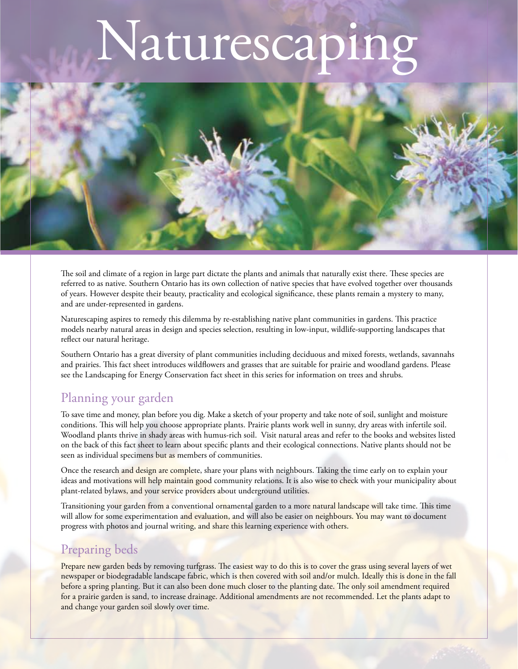# Naturescapi



The soil and climate of a region in large part dictate the plants and animals that naturally exist there. These species are referred to as native. Southern Ontario has its own collection of native species that have evolved together over thousands of years. However despite their beauty, practicality and ecological significance, these plants remain a mystery to many, and are under-represented in gardens.

Naturescaping aspires to remedy this dilemma by re-establishing native plant communities in gardens. This practice models nearby natural areas in design and species selection, resulting in low-input, wildlife-supporting landscapes that reflect our natural heritage.

Southern Ontario has a great diversity of plant communities including deciduous and mixed forests, wetlands, savannahs and prairies. This fact sheet introduces wildflowers and grasses that are suitable for prairie and woodland gardens. Please see the Landscaping for Energy Conservation fact sheet in this series for information on trees and shrubs.

#### Planning your garden

To save time and money, plan before you dig. Make a sketch of your property and take note of soil, sunlight and moisture conditions. This will help you choose appropriate plants. Prairie plants work well in sunny, dry areas with infertile soil. Woodland plants thrive in shady areas with humus-rich soil. Visit natural areas and refer to the books and websites listed on the back of this fact sheet to learn about specific plants and their ecological connections. Native plants should not be seen as individual specimens but as members of communities.

Once the research and design are complete, share your plans with neighbours. Taking the time early on to explain your ideas and motivations will help maintain good community relations. It is also wise to check with your municipality about plant-related bylaws, and your service providers about underground utilities.

Transitioning your garden from a conventional ornamental garden to a more natural landscape will take time. This time will allow for some experimentation and evaluation, and will also be easier on neighbours. You may want to document progress with photos and journal writing, and share this learning experience with others.

# Preparing beds

Prepare new garden beds by removing turfgrass. The easiest way to do this is to cover the grass using several layers of wet newspaper or biodegradable landscape fabric, which is then covered with soil and/or mulch. Ideally this is done in the fall before a spring planting. But it can also been done much closer to the planting date. The only soil amendment required for a prairie garden is sand, to increase drainage. Additional amendments are not recommended. Let the plants adapt to and change your garden soil slowly over time.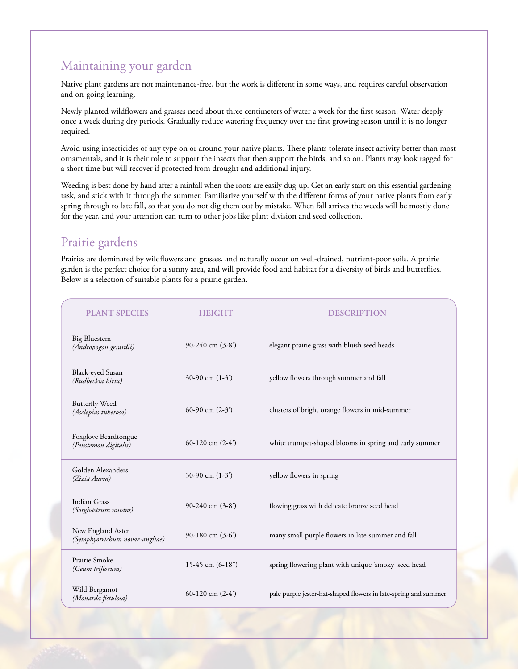# Maintaining your garden

Native plant gardens are not maintenance-free, but the work is different in some ways, and requires careful observation and on-going learning.

Newly planted wildflowers and grasses need about three centimeters of water a week for the first season. Water deeply once a week during dry periods. Gradually reduce watering frequency over the first growing season until it is no longer required.

Avoid using insecticides of any type on or around your native plants. These plants tolerate insect activity better than most ornamentals, and it is their role to support the insects that then support the birds, and so on. Plants may look ragged for a short time but will recover if protected from drought and additional injury.

Weeding is best done by hand after a rainfall when the roots are easily dug-up. Get an early start on this essential gardening task, and stick with it through the summer. Familiarize yourself with the different forms of your native plants from early spring through to late fall, so that you do not dig them out by mistake. When fall arrives the weeds will be mostly done for the year, and your attention can turn to other jobs like plant division and seed collection.

#### Prairie gardens

Prairies are dominated by wildflowers and grasses, and naturally occur on well-drained, nutrient-poor soils. A prairie garden is the perfect choice for a sunny area, and will provide food and habitat for a diversity of birds and butterflies. Below is a selection of suitable plants for a prairie garden.

| <b>PLANT SPECIES</b>                                | <b>HEIGHT</b>     | <b>DESCRIPTION</b>                                              |
|-----------------------------------------------------|-------------------|-----------------------------------------------------------------|
| <b>Big Bluestem</b><br>(Andropogon gerardii)        | 90-240 cm $(3-8)$ | elegant prairie grass with bluish seed heads                    |
| Black-eyed Susan<br>(Rudbeckia hirta)               | 30-90 cm $(1-3)$  | yellow flowers through summer and fall                          |
| <b>Butterfly Weed</b><br>(Asclepias tuberosa)       | 60-90 cm $(2-3)$  | clusters of bright orange flowers in mid-summer                 |
| Foxglove Beardtongue<br>(Penstemon digitalis)       | 60-120 cm $(2-4)$ | white trumpet-shaped blooms in spring and early summer          |
| Golden Alexanders<br>(Zizia Aurea)                  | 30-90 cm $(1-3)$  | yellow flowers in spring                                        |
| Indian Grass<br>(Sorghastrum nutans)                | 90-240 cm (3-8')  | flowing grass with delicate bronze seed head                    |
| New England Aster<br>(Symphyotrichum novae-angliae) | 90-180 cm $(3-6)$ | many small purple flowers in late-summer and fall               |
| Prairie Smoke<br>(Geum triflorum)                   | 15-45 cm $(6-18)$ | spring flowering plant with unique 'smoky' seed head            |
| Wild Bergamot<br>(Monarda fistulosa)                | 60-120 cm $(2-4)$ | pale purple jester-hat-shaped flowers in late-spring and summer |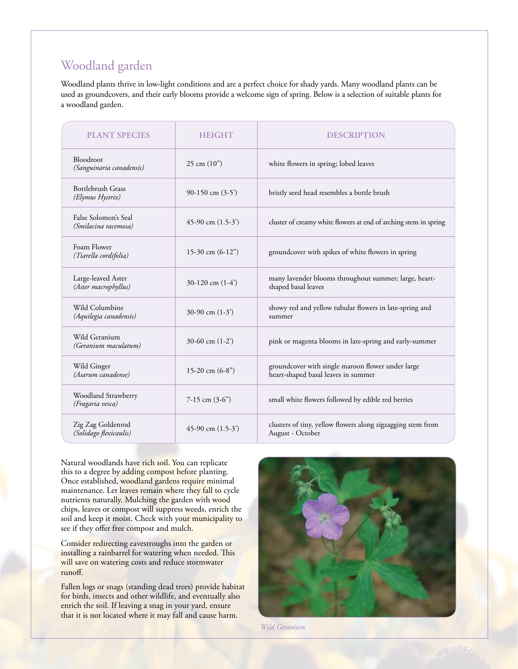## Woodland garden

Woodland plants thrive in low-light conditions and are a perfect choice for shady yards. Many woodland plants can be used as groundcovers, and their early blooms provide a welcome sign of spring. Below is a selection of suitable plants for a woodland garden.

| <b>PLANT SPECIES</b>                         | <b>HEIGHT</b>             | <b>DESCRIPTION</b>                                                                       |
|----------------------------------------------|---------------------------|------------------------------------------------------------------------------------------|
| Bloodroot<br>(Sanguinaria canadensis)        | $25 \text{ cm } (10^{n})$ | white flowers in spring; lobed leaves                                                    |
| <b>Bottlebrush Grass</b><br>(Elymus Hystrix) | 90-150 cm $(3-5)$         | bristly seed head resembles a bottle brush                                               |
| False Solomon's Seal<br>(Smilacina racemosa) | 45-90 cm $(1.5-3)$        | cluster of creamy white flowers at end of arching stem in spring                         |
| Foam Flower<br>(Tiarella cordifolia)         | 15-30 cm $(6-12)$         | groundcover with spikes of white flowers in spring                                       |
| Large-leaved Aster<br>(Aster macrophyllus)   | 30-120 cm $(1-4)$         | many lavender blooms throughout summer; large, heart-<br>shaped basal leaves             |
| Wild Columbine<br>(Aquilegia canadensis)     | 30-90 cm $(1-3)$          | showy red and yellow tubular flowers in late-spring and<br>summer                        |
| Wild Geranium<br>(Geranium maculatum)        | 30-60 cm $(1-2)$          | pink or magenta blooms in late-spring and early-summer                                   |
| Wild Ginger<br>(Asarum canadense)            | 15-20 cm $(6-8)$          | groundcover with single maroon flower under large<br>heart-shaped basal leaves in summer |
| Woodland Strawberry<br>(Fragaria vesca)      | 7-15 cm $(3-6)$           | small white flowers followed by edible red berries                                       |
| Zig Zag Goldenrod<br>(Solidago flexicaulis)  | 45-90 cm $(1.5-3)$        | clusters of tiny, yellow flowers along zigzagging stem from<br>August - October          |

Natural woodlands have rich soil. You can replicate this to a degree by adding compost before planting. Once established, woodland gardens require minimal maintenance. Let leaves remain where they fall to cycle nutrients naturally. Mulching the garden with wood chips, leaves or compost will suppress weeds, enrich the soil and keep it moist. Check with your municipality to see if they offer free compost and mulch.

Consider redirecting eavestroughs into the garden or installing a rainbarrel for watering when needed. This will save on watering costs and reduce stormwater runoff.

Fallen logs or snags (standing dead trees) provide habitat for birds, insects and other wildlife, and eventually also enrich the soil. If leaving a snag in your yard, ensure that it is not located where it may fall and cause harm.



*Wild Geranium*